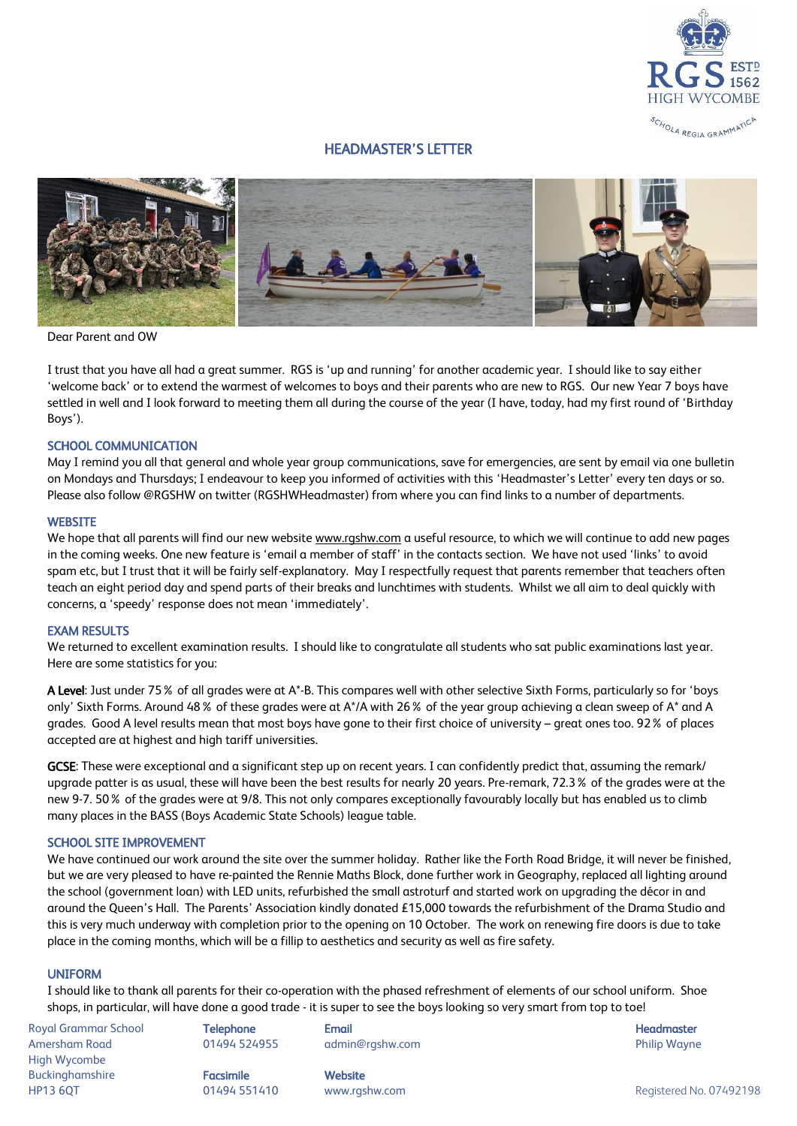

# HEADMASTER'S LETTER



Dear Parent and OW

I trust that you have all had a great summer. RGS is 'up and running' for another academic year. I should like to say either 'welcome back' or to extend the warmest of welcomes to boys and their parents who are new to RGS. Our new Year 7 boys have settled in well and I look forward to meeting them all during the course of the year (I have, today, had my first round of 'Birthday Boys').

### SCHOOL COMMUNICATION

May I remind you all that general and whole year group communications, save for emergencies, are sent by email via one bulletin on Mondays and Thursdays; I endeavour to keep you informed of activities with this 'Headmaster's Letter' every ten days or so. Please also follow @RGSHW on twitter (RGSHWHeadmaster) from where you can find links to a number of departments.

### **WEBSITE**

We hope that all parents will find our new website [www.rgshw.com](http://www.rgshw.com/) a useful resource, to which we will continue to add new pages in the coming weeks. One new feature is 'email a member of staff' in the contacts section. We have not used 'links' to avoid spam etc, but I trust that it will be fairly self-explanatory. May I respectfully request that parents remember that teachers often teach an eight period day and spend parts of their breaks and lunchtimes with students. Whilst we all aim to deal quickly with concerns, a 'speedy' response does not mean 'immediately'.

### EXAM RESULTS

We returned to excellent examination results. I should like to congratulate all students who sat public examinations last year. Here are some statistics for you:

A Level: Just under 75% of all grades were at A\*-B. This compares well with other selective Sixth Forms, particularly so for 'boys only' Sixth Forms. Around 48% of these grades were at A\*/A with 26% of the year group achieving a clean sweep of A\* and A grades. Good A level results mean that most boys have gone to their first choice of university – great ones too. 92% of places accepted are at highest and high tariff universities.

GCSE: These were exceptional and a significant step up on recent years. I can confidently predict that, assuming the remark/ upgrade patter is as usual, these will have been the best results for nearly 20 years. Pre-remark, 72.3% of the grades were at the new 9-7. 50% of the grades were at 9/8. This not only compares exceptionally favourably locally but has enabled us to climb many places in the BASS (Boys Academic State Schools) league table.

# SCHOOL SITE IMPROVEMENT

We have continued our work around the site over the summer holiday. Rather like the Forth Road Bridge, it will never be finished, but we are very pleased to have re-painted the Rennie Maths Block, done further work in Geography, replaced all lighting around the school (government loan) with LED units, refurbished the small astroturf and started work on upgrading the décor in and around the Queen's Hall. The Parents' Association kindly donated £15,000 towards the refurbishment of the Drama Studio and this is very much underway with completion prior to the opening on 10 October. The work on renewing fire doors is due to take place in the coming months, which will be a fillip to aesthetics and security as well as fire safety.

### UNIFORM

I should like to thank all parents for their co-operation with the phased refreshment of elements of our school uniform. Shoe shops, in particular, will have done a good trade - it is super to see the boys looking so very smart from top to toe!

Royal Grammar School **Telephone Email Headmaster Email Headmaster Headmaster Headmaster** Amersham Road 01494 524955 admin@rgshw.com Philip Wayne High Wycombe Buckinghamshire **Facsimile Facsimile** Website HP13 6QT 01494 551410 www.rgshw.com Registered No. 07492198